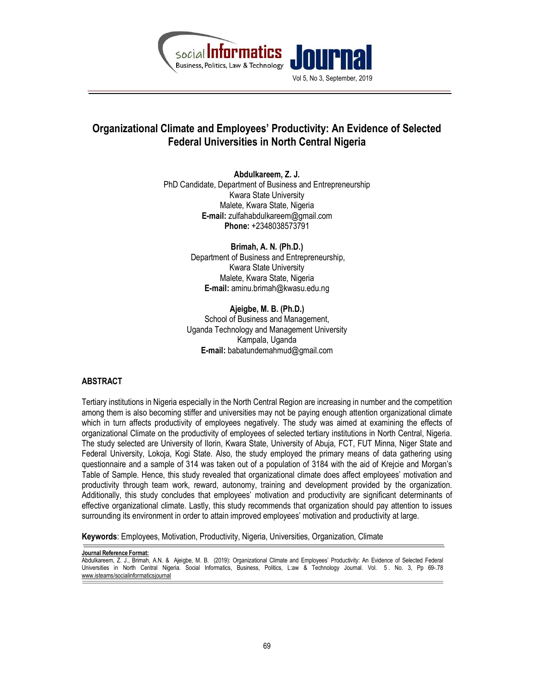

# Organizational Climate and Employees' Productivity: An Evidence of Selected Federal Universities in North Central Nigeria

Abdulkareem, Z. J. PhD Candidate, Department of Business and Entrepreneurship Kwara State University Malete, Kwara State, Nigeria E-mail: zulfahabdulkareem@gmail.com Phone: +2348038573791

> Brimah, A. N. (Ph.D.) Department of Business and Entrepreneurship, Kwara State University Malete, Kwara State, Nigeria E-mail: aminu.brimah@kwasu.edu.ng

Ajeigbe, M. B. (Ph.D.) School of Business and Management, Uganda Technology and Management University Kampala, Uganda E-mail: babatundemahmud@gmail.com

#### ABSTRACT

Tertiary institutions in Nigeria especially in the North Central Region are increasing in number and the competition among them is also becoming stiffer and universities may not be paying enough attention organizational climate which in turn affects productivity of employees negatively. The study was aimed at examining the effects of organizational Climate on the productivity of employees of selected tertiary institutions in North Central, Nigeria. The study selected are University of Ilorin, Kwara State, University of Abuja, FCT, FUT Minna, Niger State and Federal University, Lokoja, Kogi State. Also, the study employed the primary means of data gathering using questionnaire and a sample of 314 was taken out of a population of 3184 with the aid of Krejcie and Morgan's Table of Sample. Hence, this study revealed that organizational climate does affect employees' motivation and productivity through team work, reward, autonomy, training and development provided by the organization. Additionally, this study concludes that employees' motivation and productivity are significant determinants of effective organizational climate. Lastly, this study recommends that organization should pay attention to issues surrounding its environment in order to attain improved employees' motivation and productivity at large.

Keywords: Employees, Motivation, Productivity, Nigeria, Universities, Organization, Climate

Journal Reference Format:

Abdulkareem, Z. J., Brimah, A.N. & Ajeigbe, M. B. (2019): Organizational Climate and Employees' Productivity: An Evidence of Selected Federal Universities in North Central Nigeria. Social Informatics, Business, Politics, L:aw & Technology Journal. Vol. 5 . No. 3, Pp 69-.78 www.isteams/socialinformaticsjournal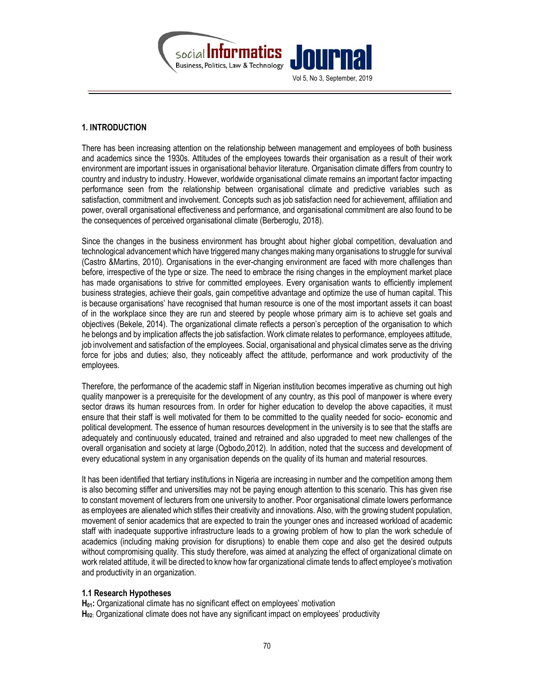

## 1. INTRODUCTION

There has been increasing attention on the relationship between management and employees of both business and academics since the 1930s. Attitudes of the employees towards their organisation as a result of their work environment are important issues in organisational behavior literature. Organisation climate differs from country to country and industry to industry. However, worldwide organisational climate remains an important factor impacting performance seen from the relationship between organisational climate and predictive variables such as satisfaction, commitment and involvement. Concepts such as job satisfaction need for achievement, affiliation and power, overall organisational effectiveness and performance, and organisational commitment are also found to be the consequences of perceived organisational climate (Berberoglu, 2018).

Since the changes in the business environment has brought about higher global competition, devaluation and technological advancement which have triggered many changes making many organisations to struggle for survival (Castro &Martins, 2010). Organisations in the ever-changing environment are faced with more challenges than before, irrespective of the type or size. The need to embrace the rising changes in the employment market place has made organisations to strive for committed employees. Every organisation wants to efficiently implement business strategies, achieve their goals, gain competitive advantage and optimize the use of human capital. This is because organisations' have recognised that human resource is one of the most important assets it can boast of in the workplace since they are run and steered by people whose primary aim is to achieve set goals and objectives (Bekele, 2014). The organizational climate reflects a person's perception of the organisation to which he belongs and by implication affects the job satisfaction. Work climate relates to performance, employees attitude, job involvement and satisfaction of the employees. Social, organisational and physical climates serve as the driving force for jobs and duties; also, they noticeably affect the attitude, performance and work productivity of the employees.

Therefore, the performance of the academic staff in Nigerian institution becomes imperative as churning out high quality manpower is a prerequisite for the development of any country, as this pool of manpower is where every sector draws its human resources from. In order for higher education to develop the above capacities, it must ensure that their staff is well motivated for them to be committed to the quality needed for socio- economic and political development. The essence of human resources development in the university is to see that the staffs are adequately and continuously educated, trained and retrained and also upgraded to meet new challenges of the overall organisation and society at large (Ogbodo,2012). In addition, noted that the success and development of every educational system in any organisation depends on the quality of its human and material resources.

It has been identified that tertiary institutions in Nigeria are increasing in number and the competition among them is also becoming stiffer and universities may not be paying enough attention to this scenario. This has given rise to constant movement of lecturers from one university to another. Poor organisational climate lowers performance as employees are alienated which stifles their creativity and innovations. Also, with the growing student population, movement of senior academics that are expected to train the younger ones and increased workload of academic staff with inadequate supportive infrastructure leads to a growing problem of how to plan the work schedule of academics (including making provision for disruptions) to enable them cope and also get the desired outputs without compromising quality. This study therefore, was aimed at analyzing the effect of organizational climate on work related attitude, it will be directed to know how far organizational climate tends to affect employee's motivation and productivity in an organization.

#### 1.1 Research Hypotheses

 $H<sub>01</sub>$ : Organizational climate has no significant effect on employees' motivation  $H<sub>02</sub>$ : Organizational climate does not have any significant impact on employees' productivity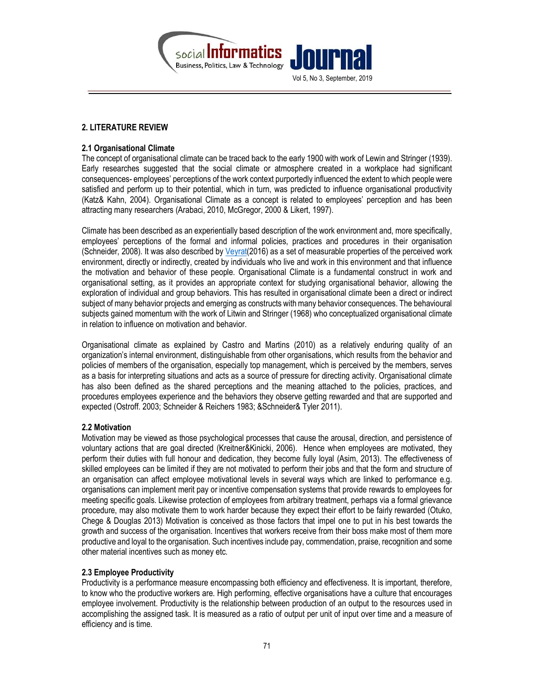

## 2. LITERATURE REVIEW

#### 2.1 Organisational Climate

The concept of organisational climate can be traced back to the early 1900 with work of Lewin and Stringer (1939). Early researches suggested that the social climate or atmosphere created in a workplace had significant consequences- employees' perceptions of the work context purportedly influenced the extent to which people were satisfied and perform up to their potential, which in turn, was predicted to influence organisational productivity (Katz& Kahn, 2004). Organisational Climate as a concept is related to employees' perception and has been attracting many researchers (Arabaci, 2010, McGregor, 2000 & Likert, 1997).

Climate has been described as an experientially based description of the work environment and, more specifically, employees' perceptions of the formal and informal policies, practices and procedures in their organisation (Schneider, 2008). It was also described by Veyrat(2016) as a set of measurable properties of the perceived work environment, directly or indirectly, created by individuals who live and work in this environment and that influence the motivation and behavior of these people. Organisational Climate is a fundamental construct in work and organisational setting, as it provides an appropriate context for studying organisational behavior, allowing the exploration of individual and group behaviors. This has resulted in organisational climate been a direct or indirect subject of many behavior projects and emerging as constructs with many behavior consequences. The behavioural subjects gained momentum with the work of Litwin and Stringer (1968) who conceptualized organisational climate in relation to influence on motivation and behavior.

Organisational climate as explained by Castro and Martins (2010) as a relatively enduring quality of an organization's internal environment, distinguishable from other organisations, which results from the behavior and policies of members of the organisation, especially top management, which is perceived by the members, serves as a basis for interpreting situations and acts as a source of pressure for directing activity. Organisational climate has also been defined as the shared perceptions and the meaning attached to the policies, practices, and procedures employees experience and the behaviors they observe getting rewarded and that are supported and expected (Ostroff. 2003; Schneider & Reichers 1983; &Schneider& Tyler 2011).

#### 2.2 Motivation

Motivation may be viewed as those psychological processes that cause the arousal, direction, and persistence of voluntary actions that are goal directed (Kreitner&Kinicki, 2006). Hence when employees are motivated, they perform their duties with full honour and dedication, they become fully loyal (Asim, 2013). The effectiveness of skilled employees can be limited if they are not motivated to perform their jobs and that the form and structure of an organisation can affect employee motivational levels in several ways which are linked to performance e.g. organisations can implement merit pay or incentive compensation systems that provide rewards to employees for meeting specific goals. Likewise protection of employees from arbitrary treatment, perhaps via a formal grievance procedure, may also motivate them to work harder because they expect their effort to be fairly rewarded (Otuko, Chege & Douglas 2013) Motivation is conceived as those factors that impel one to put in his best towards the growth and success of the organisation. Incentives that workers receive from their boss make most of them more productive and loyal to the organisation. Such incentives include pay, commendation, praise, recognition and some other material incentives such as money etc.

## 2.3 Employee Productivity

Productivity is a performance measure encompassing both efficiency and effectiveness. It is important, therefore, to know who the productive workers are. High performing, effective organisations have a culture that encourages employee involvement. Productivity is the relationship between production of an output to the resources used in accomplishing the assigned task. It is measured as a ratio of output per unit of input over time and a measure of efficiency and is time.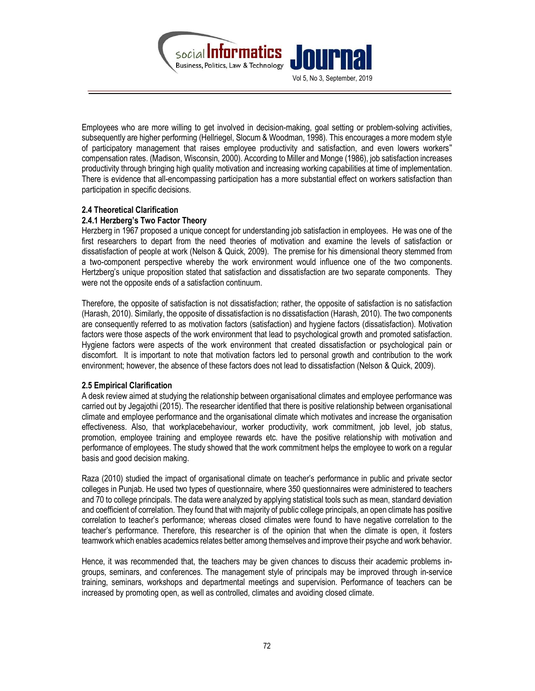

Employees who are more willing to get involved in decision-making, goal setting or problem-solving activities, subsequently are higher performing (Hellriegel, Slocum & Woodman, 1998). This encourages a more modern style of participatory management that raises employee productivity and satisfaction, and even lowers workers" compensation rates. (Madison, Wisconsin, 2000). According to Miller and Monge (1986), job satisfaction increases productivity through bringing high quality motivation and increasing working capabilities at time of implementation. There is evidence that all-encompassing participation has a more substantial effect on workers satisfaction than participation in specific decisions.

### 2.4 Theoretical Clarification

## 2.4.1 Herzberg's Two Factor Theory

Herzberg in 1967 proposed a unique concept for understanding job satisfaction in employees. He was one of the first researchers to depart from the need theories of motivation and examine the levels of satisfaction or dissatisfaction of people at work (Nelson & Quick, 2009). The premise for his dimensional theory stemmed from a two-component perspective whereby the work environment would influence one of the two components. Hertzberg's unique proposition stated that satisfaction and dissatisfaction are two separate components. They were not the opposite ends of a satisfaction continuum.

Therefore, the opposite of satisfaction is not dissatisfaction; rather, the opposite of satisfaction is no satisfaction (Harash, 2010). Similarly, the opposite of dissatisfaction is no dissatisfaction (Harash, 2010). The two components are consequently referred to as motivation factors (satisfaction) and hygiene factors (dissatisfaction). Motivation factors were those aspects of the work environment that lead to psychological growth and promoted satisfaction. Hygiene factors were aspects of the work environment that created dissatisfaction or psychological pain or discomfort. It is important to note that motivation factors led to personal growth and contribution to the work environment; however, the absence of these factors does not lead to dissatisfaction (Nelson & Quick, 2009).

#### 2.5 Empirical Clarification

A desk review aimed at studying the relationship between organisational climates and employee performance was carried out by Jegajothi (2015). The researcher identified that there is positive relationship between organisational climate and employee performance and the organisational climate which motivates and increase the organisation effectiveness. Also, that workplacebehaviour, worker productivity, work commitment, job level, job status, promotion, employee training and employee rewards etc. have the positive relationship with motivation and performance of employees. The study showed that the work commitment helps the employee to work on a regular basis and good decision making.

Raza (2010) studied the impact of organisational climate on teacher's performance in public and private sector colleges in Punjab. He used two types of questionnaire, where 350 questionnaires were administered to teachers and 70 to college principals. The data were analyzed by applying statistical tools such as mean, standard deviation and coefficient of correlation. They found that with majority of public college principals, an open climate has positive correlation to teacher's performance; whereas closed climates were found to have negative correlation to the teacher's performance. Therefore, this researcher is of the opinion that when the climate is open, it fosters teamwork which enables academics relates better among themselves and improve their psyche and work behavior.

Hence, it was recommended that, the teachers may be given chances to discuss their academic problems ingroups, seminars, and conferences. The management style of principals may be improved through in-service training, seminars, workshops and departmental meetings and supervision. Performance of teachers can be increased by promoting open, as well as controlled, climates and avoiding closed climate.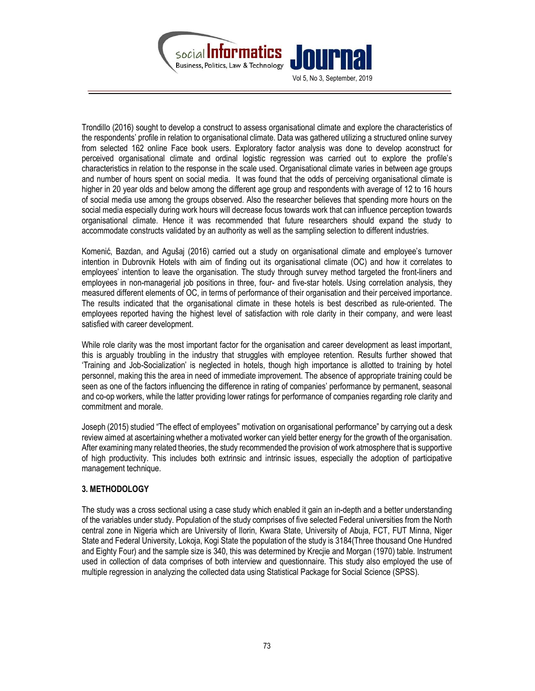

Trondillo (2016) sought to develop a construct to assess organisational climate and explore the characteristics of the respondents' profile in relation to organisational climate. Data was gathered utilizing a structured online survey from selected 162 online Face book users. Exploratory factor analysis was done to develop aconstruct for perceived organisational climate and ordinal logistic regression was carried out to explore the profile's characteristics in relation to the response in the scale used. Organisational climate varies in between age groups and number of hours spent on social media. It was found that the odds of perceiving organisational climate is higher in 20 year olds and below among the different age group and respondents with average of 12 to 16 hours of social media use among the groups observed. Also the researcher believes that spending more hours on the social media especially during work hours will decrease focus towards work that can influence perception towards organisational climate. Hence it was recommended that future researchers should expand the study to accommodate constructs validated by an authority as well as the sampling selection to different industries.

Komenić, Bazdan, and Agušaj (2016) carried out a study on organisational climate and employee's turnover intention in Dubrovnik Hotels with aim of finding out its organisational climate (OC) and how it correlates to employees' intention to leave the organisation. The study through survey method targeted the front-liners and employees in non-managerial job positions in three, four- and five-star hotels. Using correlation analysis, they measured different elements of OC, in terms of performance of their organisation and their perceived importance. The results indicated that the organisational climate in these hotels is best described as rule-oriented. The employees reported having the highest level of satisfaction with role clarity in their company, and were least satisfied with career development.

While role clarity was the most important factor for the organisation and career development as least important, this is arguably troubling in the industry that struggles with employee retention. Results further showed that 'Training and Job-Socialization' is neglected in hotels, though high importance is allotted to training by hotel personnel, making this the area in need of immediate improvement. The absence of appropriate training could be seen as one of the factors influencing the difference in rating of companies' performance by permanent, seasonal and co-op workers, while the latter providing lower ratings for performance of companies regarding role clarity and commitment and morale.

Joseph (2015) studied "The effect of employees" motivation on organisational performance" by carrying out a desk review aimed at ascertaining whether a motivated worker can yield better energy for the growth of the organisation. After examining many related theories, the study recommended the provision of work atmosphere that is supportive of high productivity. This includes both extrinsic and intrinsic issues, especially the adoption of participative management technique.

## 3. METHODOLOGY

The study was a cross sectional using a case study which enabled it gain an in-depth and a better understanding of the variables under study. Population of the study comprises of five selected Federal universities from the North central zone in Nigeria which are University of Ilorin, Kwara State, University of Abuja, FCT, FUT Minna, Niger State and Federal University, Lokoja, Kogi State the population of the study is 3184(Three thousand One Hundred and Eighty Four) and the sample size is 340, this was determined by Krecjie and Morgan (1970) table. Instrument used in collection of data comprises of both interview and questionnaire. This study also employed the use of multiple regression in analyzing the collected data using Statistical Package for Social Science (SPSS).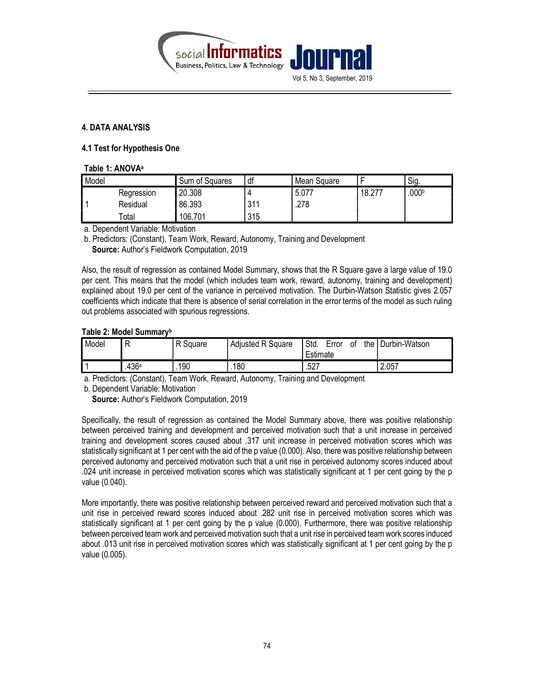

## 4. DATA ANALYSIS

#### 4.1 Test for Hypothesis One

| Table 1: ANOVA <sup>a</sup> |  |  |  |
|-----------------------------|--|--|--|
|-----------------------------|--|--|--|

| Model |            | Sum of Squares | df  | Mean Square |        | 'Sig.             |
|-------|------------|----------------|-----|-------------|--------|-------------------|
|       | Regression | 20.308         |     | 5.077       | 18.277 | .000 <sup>b</sup> |
|       | Residual   | 86.393         | 311 | .278        |        |                   |
|       | Total      | 106.701        | 315 |             |        |                   |

a. Dependent Variable: Motivation

b. Predictors: (Constant), Team Work, Reward, Autonomy, Training and Development Source: Author's Fieldwork Computation, 2019

Also, the result of regression as contained Model Summary, shows that the R Square gave a large value of 19.0 per cent. This means that the model (which includes team work, reward, autonomy, training and development) explained about 19.0 per cent of the variance in perceived motivation. The Durbin-Watson Statistic gives 2.057 coefficients which indicate that there is absence of serial correlation in the error terms of the model as such ruling out problems associated with spurious regressions.

#### Table 2: Model Summary<sup>b</sup>

| Model | −                 | R Square | <b>Adjusted R Square</b> | the<br>Std.<br>Error<br>οt<br>Estimate | Durbin-Watson |
|-------|-------------------|----------|--------------------------|----------------------------------------|---------------|
|       | .436 <sup>a</sup> | 190      | 180                      | .527                                   | 2.057<br>n    |

a. Predictors: (Constant), Team Work, Reward, Autonomy, Training and Development

b. Dependent Variable: Motivation

Source: Author's Fieldwork Computation, 2019

Specifically, the result of regression as contained the Model Summary above, there was positive relationship between perceived training and development and perceived motivation such that a unit increase in perceived training and development scores caused about .317 unit increase in perceived motivation scores which was statistically significant at 1 per cent with the aid of the p value (0.000). Also, there was positive relationship between perceived autonomy and perceived motivation such that a unit rise in perceived autonomy scores induced about .024 unit increase in perceived motivation scores which was statistically significant at 1 per cent going by the p value (0.040).

More importantly, there was positive relationship between perceived reward and perceived motivation such that a unit rise in perceived reward scores induced about .282 unit rise in perceived motivation scores which was statistically significant at 1 per cent going by the p value (0.000). Furthermore, there was positive relationship between perceived team work and perceived motivation such that a unit rise in perceived team work scores induced about .013 unit rise in perceived motivation scores which was statistically significant at 1 per cent going by the p value (0.005).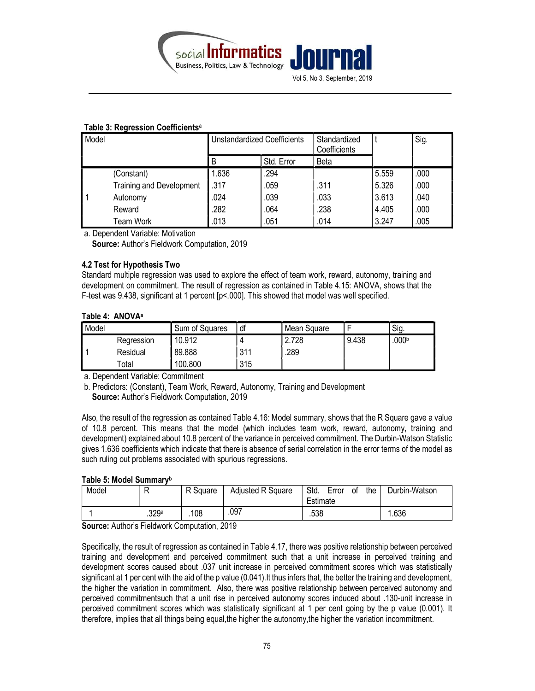

| rapie J. Regiession openicients |                                 |                                    |            |                              |       |      |  |  |
|---------------------------------|---------------------------------|------------------------------------|------------|------------------------------|-------|------|--|--|
| Model                           |                                 | <b>Unstandardized Coefficients</b> |            | Standardized<br>Coefficients |       | Sig. |  |  |
|                                 |                                 | B                                  | Std. Error | Beta                         |       |      |  |  |
|                                 | (Constant)                      | 1.636                              | .294       |                              | 5.559 | .000 |  |  |
|                                 | <b>Training and Development</b> | .317                               | .059       | .311                         | 5.326 | .000 |  |  |
|                                 | Autonomy                        | .024                               | .039       | .033                         | 3.613 | .040 |  |  |
|                                 | Reward                          | .282                               | .064       | .238                         | 4.405 | .000 |  |  |
|                                 | Team Work                       | .013                               | .051       | .014                         | 3.247 | .005 |  |  |

#### Table 3: Regression Coefficients<sup>a</sup>

a. Dependent Variable: Motivation

Source: Author's Fieldwork Computation, 2019

### 4.2 Test for Hypothesis Two

Standard multiple regression was used to explore the effect of team work, reward, autonomy, training and development on commitment. The result of regression as contained in Table 4.15: ANOVA, shows that the F-test was 9.438, significant at 1 percent [p<.000]. This showed that model was well specified.

### Table 4: ANOVA<sup>a</sup>

| Model |            | Sum of Squares | df  | Mean Square |       | Sig. |
|-------|------------|----------------|-----|-------------|-------|------|
|       | Regression | 10.912         |     | 2.728       | 9.438 | 000b |
|       | Residual   | 89.888         | 311 | .289        |       |      |
|       | ™otal      | 100.800        | 315 |             |       |      |

a. Dependent Variable: Commitment

b. Predictors: (Constant), Team Work, Reward, Autonomy, Training and Development Source: Author's Fieldwork Computation, 2019

Also, the result of the regression as contained Table 4.16: Model summary, shows that the R Square gave a value of 10.8 percent. This means that the model (which includes team work, reward, autonomy, training and development) explained about 10.8 percent of the variance in perceived commitment. The Durbin-Watson Statistic gives 1.636 coefficients which indicate that there is absence of serial correlation in the error terms of the model as such ruling out problems associated with spurious regressions.

#### Table 5: Model Summary<sup>b</sup>

| Model |                  | R Square | <b>Adjusted R Square</b> | Std.<br>the<br>Error<br>οt<br>Estimate | Durbin-Watson |
|-------|------------------|----------|--------------------------|----------------------------------------|---------------|
|       | 329 <sup>a</sup> | .108     | .097                     | .538                                   | .636          |

Source: Author's Fieldwork Computation, 2019

Specifically, the result of regression as contained in Table 4.17, there was positive relationship between perceived training and development and perceived commitment such that a unit increase in perceived training and development scores caused about .037 unit increase in perceived commitment scores which was statistically significant at 1 per cent with the aid of the p value (0.041). It thus infers that, the better the training and development, the higher the variation in commitment. Also, there was positive relationship between perceived autonomy and perceived commitmentsuch that a unit rise in perceived autonomy scores induced about .130-unit increase in perceived commitment scores which was statistically significant at 1 per cent going by the p value (0.001). It therefore, implies that all things being equal,the higher the autonomy,the higher the variation incommitment.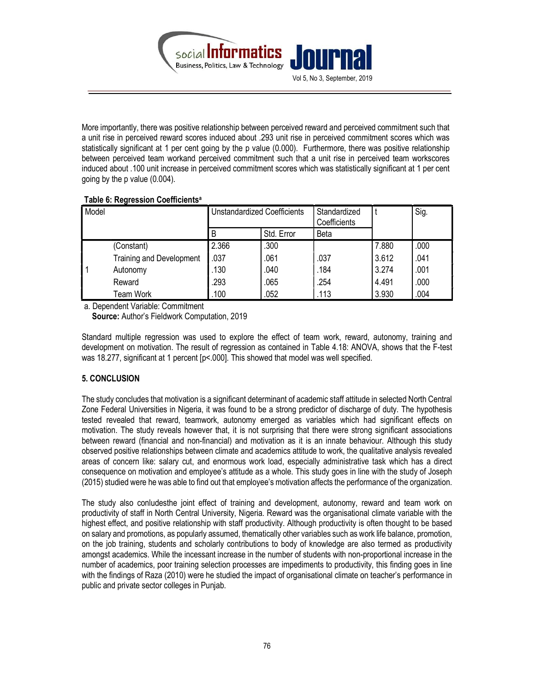

More importantly, there was positive relationship between perceived reward and perceived commitment such that a unit rise in perceived reward scores induced about .293 unit rise in perceived commitment scores which was statistically significant at 1 per cent going by the p value (0.000). Furthermore, there was positive relationship between perceived team workand perceived commitment such that a unit rise in perceived team workscores induced about .100 unit increase in perceived commitment scores which was statistically significant at 1 per cent going by the p value (0.004).

## Table 6: Regression Coefficients<sup>a</sup>

| Model |                                 | <b>Unstandardized Coefficients</b> |            | Standardized<br>Coefficients |       | Sig. |
|-------|---------------------------------|------------------------------------|------------|------------------------------|-------|------|
|       |                                 | B                                  | Std. Error | Beta                         |       |      |
|       | (Constant)                      | 2.366                              | .300       |                              | 7.880 | .000 |
|       | <b>Training and Development</b> | .037                               | .061       | .037                         | 3.612 | .041 |
|       | Autonomy                        | .130                               | .040       | .184                         | 3.274 | .001 |
|       | Reward                          | .293                               | .065       | .254                         | 4.491 | .000 |
|       | Team Work                       | .100                               | .052       | .113                         | 3.930 | .004 |

a. Dependent Variable: Commitment

Source: Author's Fieldwork Computation, 2019

Standard multiple regression was used to explore the effect of team work, reward, autonomy, training and development on motivation. The result of regression as contained in Table 4.18: ANOVA, shows that the F-test was 18.277, significant at 1 percent [p<.000]. This showed that model was well specified.

## 5. CONCLUSION

The study concludes that motivation is a significant determinant of academic staff attitude in selected North Central Zone Federal Universities in Nigeria, it was found to be a strong predictor of discharge of duty. The hypothesis tested revealed that reward, teamwork, autonomy emerged as variables which had significant effects on motivation. The study reveals however that, it is not surprising that there were strong significant associations between reward (financial and non-financial) and motivation as it is an innate behaviour. Although this study observed positive relationships between climate and academics attitude to work, the qualitative analysis revealed areas of concern like: salary cut, and enormous work load, especially administrative task which has a direct consequence on motivation and employee's attitude as a whole. This study goes in line with the study of Joseph (2015) studied were he was able to find out that employee's motivation affects the performance of the organization.

The study also conludesthe joint effect of training and development, autonomy, reward and team work on productivity of staff in North Central University, Nigeria. Reward was the organisational climate variable with the highest effect, and positive relationship with staff productivity. Although productivity is often thought to be based on salary and promotions, as popularly assumed, thematically other variables such as work life balance, promotion, on the job training, students and scholarly contributions to body of knowledge are also termed as productivity amongst academics. While the incessant increase in the number of students with non-proportional increase in the number of academics, poor training selection processes are impediments to productivity, this finding goes in line with the findings of Raza (2010) were he studied the impact of organisational climate on teacher's performance in public and private sector colleges in Punjab.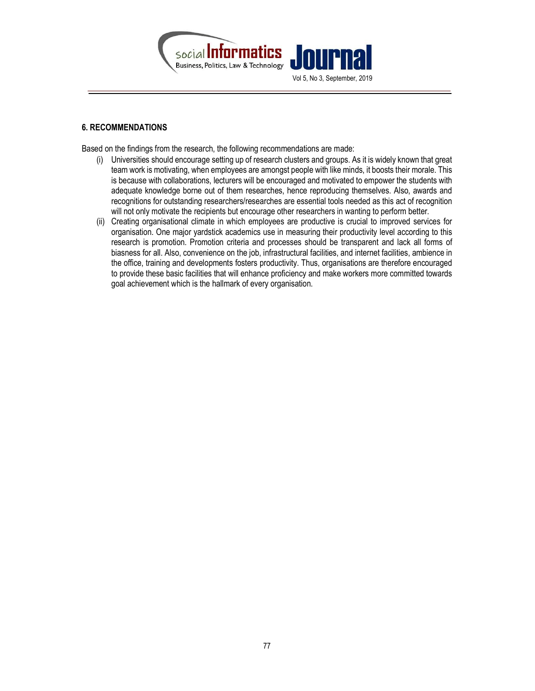

## 6. RECOMMENDATIONS

Based on the findings from the research, the following recommendations are made:

- (i) Universities should encourage setting up of research clusters and groups. As it is widely known that great team work is motivating, when employees are amongst people with like minds, it boosts their morale. This is because with collaborations, lecturers will be encouraged and motivated to empower the students with adequate knowledge borne out of them researches, hence reproducing themselves. Also, awards and recognitions for outstanding researchers/researches are essential tools needed as this act of recognition will not only motivate the recipients but encourage other researchers in wanting to perform better.
- (ii) Creating organisational climate in which employees are productive is crucial to improved services for organisation. One major yardstick academics use in measuring their productivity level according to this research is promotion. Promotion criteria and processes should be transparent and lack all forms of biasness for all. Also, convenience on the job, infrastructural facilities, and internet facilities, ambience in the office, training and developments fosters productivity. Thus, organisations are therefore encouraged to provide these basic facilities that will enhance proficiency and make workers more committed towards goal achievement which is the hallmark of every organisation.